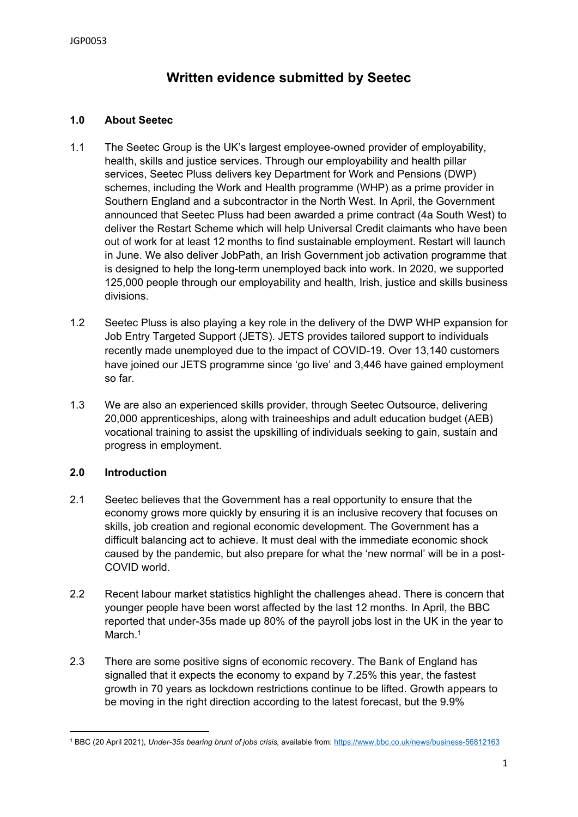# **Written evidence submitted by Seetec**

# **1.0 About Seetec**

- 1.1 The Seetec Group is the UK's largest employee-owned provider of employability, health, skills and justice services. Through our employability and health pillar services, Seetec Pluss delivers key Department for Work and Pensions (DWP) schemes, including the Work and Health programme (WHP) as a prime provider in Southern England and a subcontractor in the North West. In April, the Government announced that Seetec Pluss had been awarded a prime contract (4a South West) to deliver the Restart Scheme which will help Universal Credit claimants who have been out of work for at least 12 months to find sustainable employment. Restart will launch in June. We also deliver JobPath, an Irish Government job activation programme that is designed to help the long-term unemployed back into work. In 2020, we supported 125,000 people through our employability and health, Irish, justice and skills business divisions.
- 1.2 Seetec Pluss is also playing a key role in the delivery of the DWP WHP expansion for Job Entry Targeted Support (JETS). JETS provides tailored support to individuals recently made unemployed due to the impact of COVID-19. Over 13,140 customers have joined our JETS programme since 'go live' and 3,446 have gained employment so far.
- 1.3 We are also an experienced skills provider, through Seetec Outsource, delivering 20,000 apprenticeships, along with traineeships and adult education budget (AEB) vocational training to assist the upskilling of individuals seeking to gain, sustain and progress in employment.

#### **2.0 Introduction**

- 2.1 Seetec believes that the Government has a real opportunity to ensure that the economy grows more quickly by ensuring it is an inclusive recovery that focuses on skills, job creation and regional economic development. The Government has a difficult balancing act to achieve. It must deal with the immediate economic shock caused by the pandemic, but also prepare for what the 'new normal' will be in a post-COVID world.
- 2.2 Recent labour market statistics highlight the challenges ahead. There is concern that younger people have been worst affected by the last 12 months. In April, the BBC reported that under-35s made up 80% of the payroll jobs lost in the UK in the year to March.<sup>1</sup>
- 2.3 There are some positive signs of economic recovery. The Bank of England has signalled that it expects the economy to expand by 7.25% this year, the fastest growth in 70 years as lockdown restrictions continue to be lifted. Growth appears to be moving in the right direction according to the latest forecast, but the 9.9%

<sup>1</sup> BBC (20 April 2021), *Under-35s bearing brunt of jobs crisis,* available from: <https://www.bbc.co.uk/news/business-56812163>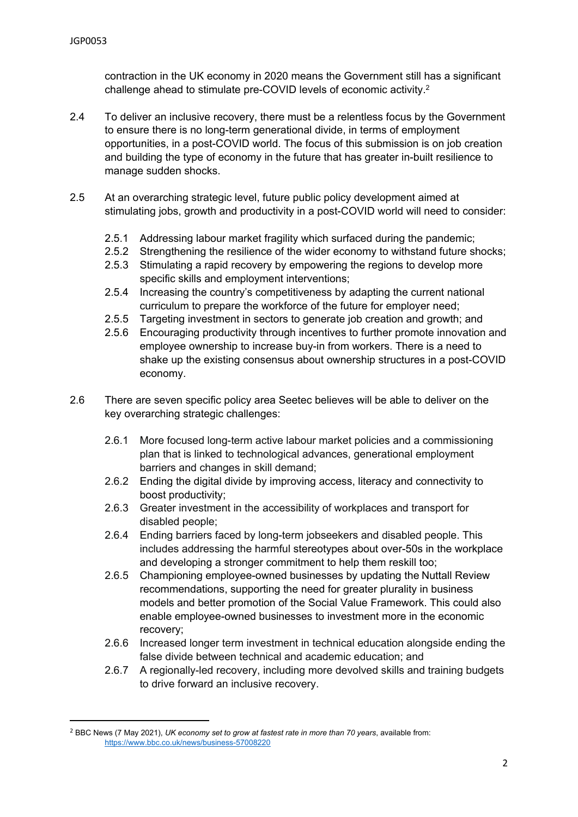contraction in the UK economy in 2020 means the Government still has a significant challenge ahead to stimulate pre-COVID levels of economic activity.<sup>2</sup>

- 2.4 To deliver an inclusive recovery, there must be a relentless focus by the Government to ensure there is no long-term generational divide, in terms of employment opportunities, in a post-COVID world. The focus of this submission is on job creation and building the type of economy in the future that has greater in-built resilience to manage sudden shocks.
- 2.5 At an overarching strategic level, future public policy development aimed at stimulating jobs, growth and productivity in a post-COVID world will need to consider:
	- 2.5.1 Addressing labour market fragility which surfaced during the pandemic;
	- 2.5.2 Strengthening the resilience of the wider economy to withstand future shocks;
	- 2.5.3 Stimulating a rapid recovery by empowering the regions to develop more specific skills and employment interventions;
	- 2.5.4 Increasing the country's competitiveness by adapting the current national curriculum to prepare the workforce of the future for employer need;
	- 2.5.5 Targeting investment in sectors to generate job creation and growth; and
	- 2.5.6 Encouraging productivity through incentives to further promote innovation and employee ownership to increase buy-in from workers. There is a need to shake up the existing consensus about ownership structures in a post-COVID economy.
- 2.6 There are seven specific policy area Seetec believes will be able to deliver on the key overarching strategic challenges:
	- 2.6.1 More focused long-term active labour market policies and a commissioning plan that is linked to technological advances, generational employment barriers and changes in skill demand;
	- 2.6.2 Ending the digital divide by improving access, literacy and connectivity to boost productivity;
	- 2.6.3 Greater investment in the accessibility of workplaces and transport for disabled people;
	- 2.6.4 Ending barriers faced by long-term jobseekers and disabled people. This includes addressing the harmful stereotypes about over-50s in the workplace and developing a stronger commitment to help them reskill too;
	- 2.6.5 Championing employee-owned businesses by updating the Nuttall Review recommendations, supporting the need for greater plurality in business models and better promotion of the Social Value Framework. This could also enable employee-owned businesses to investment more in the economic recovery;
	- 2.6.6 Increased longer term investment in technical education alongside ending the false divide between technical and academic education; and
	- 2.6.7 A regionally-led recovery, including more devolved skills and training budgets to drive forward an inclusive recovery.

<sup>2</sup> BBC News (7 May 2021), *UK economy set to grow at fastest rate in more than 70 years*, available from: <https://www.bbc.co.uk/news/business-57008220>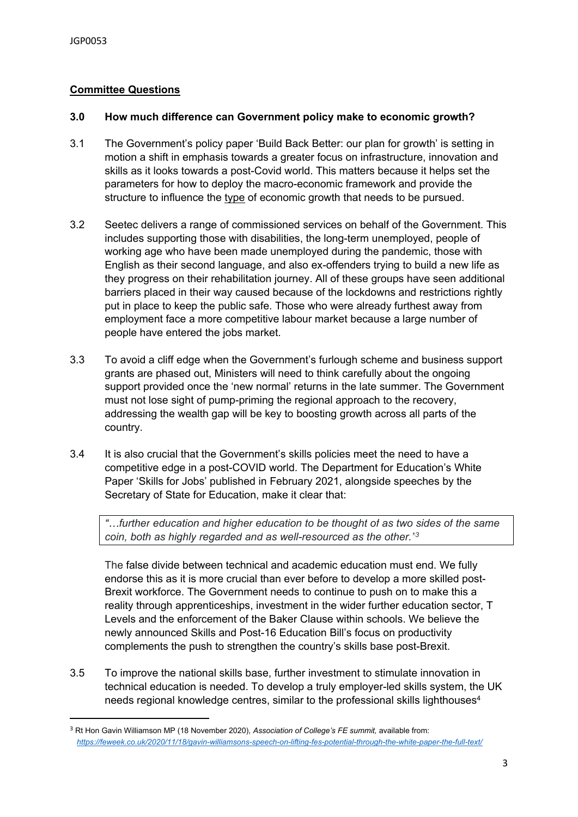# **Committee Questions**

## **3.0 How much difference can Government policy make to economic growth?**

- 3.1 The Government's policy paper 'Build Back Better: our plan for growth' is setting in motion a shift in emphasis towards a greater focus on infrastructure, innovation and skills as it looks towards a post-Covid world. This matters because it helps set the parameters for how to deploy the macro-economic framework and provide the structure to influence the type of economic growth that needs to be pursued.
- 3.2 Seetec delivers a range of commissioned services on behalf of the Government. This includes supporting those with disabilities, the long-term unemployed, people of working age who have been made unemployed during the pandemic, those with English as their second language, and also ex-offenders trying to build a new life as they progress on their rehabilitation journey. All of these groups have seen additional barriers placed in their way caused because of the lockdowns and restrictions rightly put in place to keep the public safe. Those who were already furthest away from employment face a more competitive labour market because a large number of people have entered the jobs market.
- 3.3 To avoid a cliff edge when the Government's furlough scheme and business support grants are phased out, Ministers will need to think carefully about the ongoing support provided once the 'new normal' returns in the late summer. The Government must not lose sight of pump-priming the regional approach to the recovery, addressing the wealth gap will be key to boosting growth across all parts of the country.
- 3.4 It is also crucial that the Government's skills policies meet the need to have a competitive edge in a post-COVID world. The Department for Education's White Paper 'Skills for Jobs' published in February 2021, alongside speeches by the Secretary of State for Education, make it clear that:

*"…further education and higher education to be thought of as two sides of the same coin, both as highly regarded and as well-resourced as the other."<sup>3</sup>*

The false divide between technical and academic education must end. We fully endorse this as it is more crucial than ever before to develop a more skilled post-Brexit workforce. The Government needs to continue to push on to make this a reality through apprenticeships, investment in the wider further education sector, T Levels and the enforcement of the Baker Clause within schools. We believe the newly announced Skills and Post-16 Education Bill's focus on productivity complements the push to strengthen the country's skills base post-Brexit.

3.5 To improve the national skills base, further investment to stimulate innovation in technical education is needed. To develop a truly employer-led skills system, the UK needs regional knowledge centres, similar to the professional skills lighthouses<sup>4</sup>

<sup>3</sup> Rt Hon Gavin Williamson MP (18 November 2020), *Association of College's FE summit,* available from: *<https://feweek.co.uk/2020/11/18/gavin-williamsons-speech-on-lifting-fes-potential-through-the-white-paper-the-full-text/>*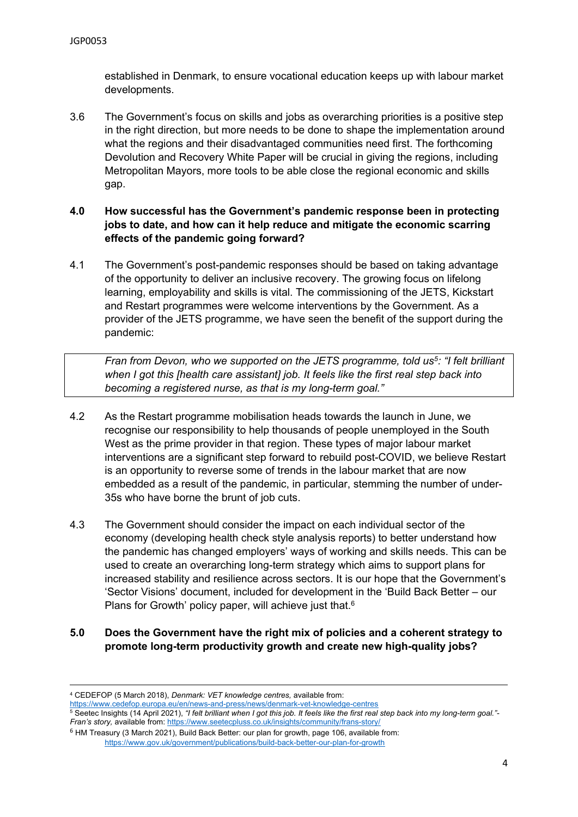established in Denmark, to ensure vocational education keeps up with labour market developments.

- 3.6 The Government's focus on skills and jobs as overarching priorities is a positive step in the right direction, but more needs to be done to shape the implementation around what the regions and their disadvantaged communities need first. The forthcoming Devolution and Recovery White Paper will be crucial in giving the regions, including Metropolitan Mayors, more tools to be able close the regional economic and skills gap.
- **4.0 How successful has the Government's pandemic response been in protecting jobs to date, and how can it help reduce and mitigate the economic scarring effects of the pandemic going forward?**
- 4.1 The Government's post-pandemic responses should be based on taking advantage of the opportunity to deliver an inclusive recovery. The growing focus on lifelong learning, employability and skills is vital. The commissioning of the JETS, Kickstart and Restart programmes were welcome interventions by the Government. As a provider of the JETS programme, we have seen the benefit of the support during the pandemic:

*Fran from Devon, who we supported on the JETS programme, told us<sup>5</sup> : "I felt brilliant when I got this [health care assistant] job. It feels like the first real step back into becoming a registered nurse, as that is my long-term goal."*

- 4.2 As the Restart programme mobilisation heads towards the launch in June, we recognise our responsibility to help thousands of people unemployed in the South West as the prime provider in that region. These types of major labour market interventions are a significant step forward to rebuild post-COVID, we believe Restart is an opportunity to reverse some of trends in the labour market that are now embedded as a result of the pandemic, in particular, stemming the number of under-35s who have borne the brunt of job cuts.
- 4.3 The Government should consider the impact on each individual sector of the economy (developing health check style analysis reports) to better understand how the pandemic has changed employers' ways of working and skills needs. This can be used to create an overarching long-term strategy which aims to support plans for increased stability and resilience across sectors. It is our hope that the Government's 'Sector Visions' document, included for development in the 'Build Back Better – our Plans for Growth' policy paper, will achieve just that.<sup>6</sup>
- **5.0 Does the Government have the right mix of policies and a coherent strategy to promote long-term productivity growth and create new high-quality jobs?**

<sup>4</sup> CEDEFOP (5 March 2018), *Denmark: VET knowledge centres,* available from:

<https://www.cedefop.europa.eu/en/news-and-press/news/denmark-vet-knowledge-centres>

<sup>5</sup> Seetec Insights (14 April 2021), "I felt brilliant when I got this job. It feels like the first real step back into my long-term goal."-*Fran's story,* available from: <https://www.seetecpluss.co.uk/insights/community/frans-story/>

<sup>6</sup> HM Treasury (3 March 2021), Build Back Better: our plan for growth, page 106, available from: <https://www.gov.uk/government/publications/build-back-better-our-plan-for-growth>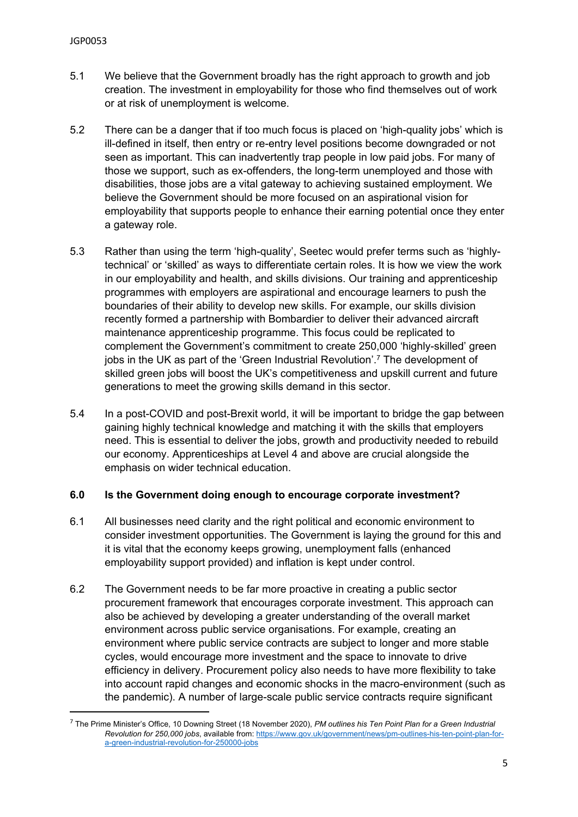- 5.1 We believe that the Government broadly has the right approach to growth and job creation. The investment in employability for those who find themselves out of work or at risk of unemployment is welcome.
- 5.2 There can be a danger that if too much focus is placed on 'high-quality jobs' which is ill-defined in itself, then entry or re-entry level positions become downgraded or not seen as important. This can inadvertently trap people in low paid jobs. For many of those we support, such as ex-offenders, the long-term unemployed and those with disabilities, those jobs are a vital gateway to achieving sustained employment. We believe the Government should be more focused on an aspirational vision for employability that supports people to enhance their earning potential once they enter a gateway role.
- 5.3 Rather than using the term 'high-quality', Seetec would prefer terms such as 'highlytechnical' or 'skilled' as ways to differentiate certain roles. It is how we view the work in our employability and health, and skills divisions. Our training and apprenticeship programmes with employers are aspirational and encourage learners to push the boundaries of their ability to develop new skills. For example, our skills division recently formed a partnership with Bombardier to deliver their advanced aircraft maintenance apprenticeship programme. This focus could be replicated to complement the Government's commitment to create 250,000 'highly-skilled' green jobs in the UK as part of the 'Green Industrial Revolution'.<sup>7</sup> The development of skilled green jobs will boost the UK's competitiveness and upskill current and future generations to meet the growing skills demand in this sector.
- 5.4 In a post-COVID and post-Brexit world, it will be important to bridge the gap between gaining highly technical knowledge and matching it with the skills that employers need. This is essential to deliver the jobs, growth and productivity needed to rebuild our economy. Apprenticeships at Level 4 and above are crucial alongside the emphasis on wider technical education.

# **6.0 Is the Government doing enough to encourage corporate investment?**

- 6.1 All businesses need clarity and the right political and economic environment to consider investment opportunities. The Government is laying the ground for this and it is vital that the economy keeps growing, unemployment falls (enhanced employability support provided) and inflation is kept under control.
- 6.2 The Government needs to be far more proactive in creating a public sector procurement framework that encourages corporate investment. This approach can also be achieved by developing a greater understanding of the overall market environment across public service organisations. For example, creating an environment where public service contracts are subject to longer and more stable cycles, would encourage more investment and the space to innovate to drive efficiency in delivery. Procurement policy also needs to have more flexibility to take into account rapid changes and economic shocks in the macro-environment (such as the pandemic). A number of large-scale public service contracts require significant

<sup>7</sup> The Prime Minister's Office, 10 Downing Street (18 November 2020), *PM outlines his Ten Point Plan for a Green Industrial Revolution for 250,000 jobs*, available from: [https://www.gov.uk/government/news/pm-outlines-his-ten-point-plan-for](https://www.gov.uk/government/news/pm-outlines-his-ten-point-plan-for-a-green-industrial-revolution-for-250000-jobs)[a-green-industrial-revolution-for-250000-jobs](https://www.gov.uk/government/news/pm-outlines-his-ten-point-plan-for-a-green-industrial-revolution-for-250000-jobs)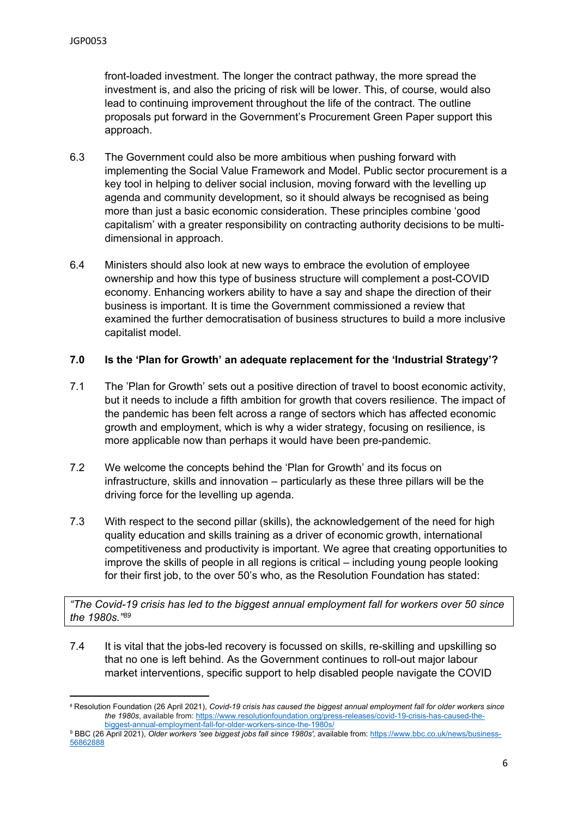front-loaded investment. The longer the contract pathway, the more spread the investment is, and also the pricing of risk will be lower. This, of course, would also lead to continuing improvement throughout the life of the contract. The outline proposals put forward in the Government's Procurement Green Paper support this approach.

- 6.3 The Government could also be more ambitious when pushing forward with implementing the Social Value Framework and Model. Public sector procurement is a key tool in helping to deliver social inclusion, moving forward with the levelling up agenda and community development, so it should always be recognised as being more than just a basic economic consideration. These principles combine 'good capitalism' with a greater responsibility on contracting authority decisions to be multidimensional in approach.
- 6.4 Ministers should also look at new ways to embrace the evolution of employee ownership and how this type of business structure will complement a post-COVID economy. Enhancing workers ability to have a say and shape the direction of their business is important. It is time the Government commissioned a review that examined the further democratisation of business structures to build a more inclusive capitalist model.

## **7.0 Is the 'Plan for Growth' an adequate replacement for the 'Industrial Strategy'?**

- 7.1 The 'Plan for Growth' sets out a positive direction of travel to boost economic activity, but it needs to include a fifth ambition for growth that covers resilience. The impact of the pandemic has been felt across a range of sectors which has affected economic growth and employment, which is why a wider strategy, focusing on resilience, is more applicable now than perhaps it would have been pre-pandemic.
- 7.2 We welcome the concepts behind the 'Plan for Growth' and its focus on infrastructure, skills and innovation – particularly as these three pillars will be the driving force for the levelling up agenda.
- 7.3 With respect to the second pillar (skills), the acknowledgement of the need for high quality education and skills training as a driver of economic growth, international competitiveness and productivity is important. We agree that creating opportunities to improve the skills of people in all regions is critical – including young people looking for their first job, to the over 50's who, as the Resolution Foundation has stated:

*"The Covid-19 crisis has led to the biggest annual employment fall for workers over 50 since the 1980s."<sup>89</sup>*

7.4 It is vital that the jobs-led recovery is focussed on skills, re-skilling and upskilling so that no one is left behind. As the Government continues to roll-out major labour market interventions, specific support to help disabled people navigate the COVID

<sup>8</sup> Resolution Foundation (26 April 2021), *Covid-19 crisis has caused the biggest annual employment fall for older workers since the 1980s*, available from: [https://www.resolutionfoundation.org/press-releases/covid-19-crisis-has-caused-the](https://www.resolutionfoundation.org/press-releases/covid-19-crisis-has-caused-the-biggest-annual-employment-fall-for-older-workers-since-the-1980s/)[biggest-annual-employment-fall-for-older-workers-since-the-1980s/](https://www.resolutionfoundation.org/press-releases/covid-19-crisis-has-caused-the-biggest-annual-employment-fall-for-older-workers-since-the-1980s/)

<sup>9</sup> BBC (26 April 2021), *Older workers 'see biggest jobs fall since 1980s',* available from: [https://www.bbc.co.uk/news/business-](https://www.bbc.co.uk/news/business-56862888)[56862888](https://www.bbc.co.uk/news/business-56862888)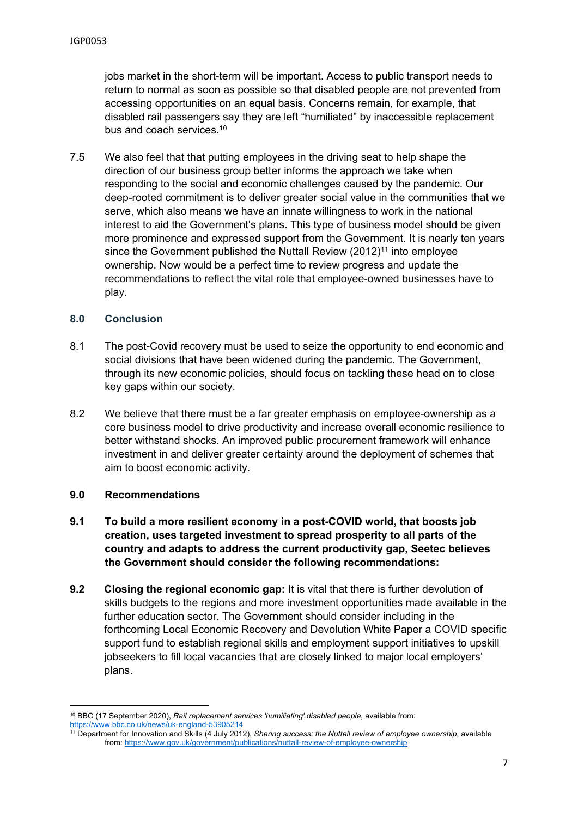jobs market in the short-term will be important. Access to public transport needs to return to normal as soon as possible so that disabled people are not prevented from accessing opportunities on an equal basis. Concerns remain, for example, that disabled rail passengers say they are left "humiliated" by inaccessible replacement bus and coach services.<sup>10</sup>

7.5 We also feel that that putting employees in the driving seat to help shape the direction of our business group better informs the approach we take when responding to the social and economic challenges caused by the pandemic. Our deep-rooted commitment is to deliver greater social value in the communities that we serve, which also means we have an innate willingness to work in the national interest to aid the Government's plans. This type of business model should be given more prominence and expressed support from the Government. It is nearly ten years since the Government published the Nuttall Review (2012)<sup>11</sup> into employee ownership. Now would be a perfect time to review progress and update the recommendations to reflect the vital role that employee-owned businesses have to play.

## **8.0 Conclusion**

- 8.1 The post-Covid recovery must be used to seize the opportunity to end economic and social divisions that have been widened during the pandemic. The Government, through its new economic policies, should focus on tackling these head on to close key gaps within our society.
- 8.2 We believe that there must be a far greater emphasis on employee-ownership as a core business model to drive productivity and increase overall economic resilience to better withstand shocks. An improved public procurement framework will enhance investment in and deliver greater certainty around the deployment of schemes that aim to boost economic activity.

#### **9.0 Recommendations**

- **9.1 To build a more resilient economy in a post-COVID world, that boosts job creation, uses targeted investment to spread prosperity to all parts of the country and adapts to address the current productivity gap, Seetec believes the Government should consider the following recommendations:**
- **9.2 Closing the regional economic gap:** It is vital that there is further devolution of skills budgets to the regions and more investment opportunities made available in the further education sector. The Government should consider including in the forthcoming Local Economic Recovery and Devolution White Paper a COVID specific support fund to establish regional skills and employment support initiatives to upskill jobseekers to fill local vacancies that are closely linked to major local employers' plans.

<sup>10</sup> BBC (17 September 2020), *Rail replacement services 'humiliating' disabled people,* available from: <https://www.bbc.co.uk/news/uk-england-53905214>

<sup>11</sup> Department for Innovation and Skills (4 July 2012), *Sharing success: the Nuttall review of employee ownership,* available from: <https://www.gov.uk/government/publications/nuttall-review-of-employee-ownership>